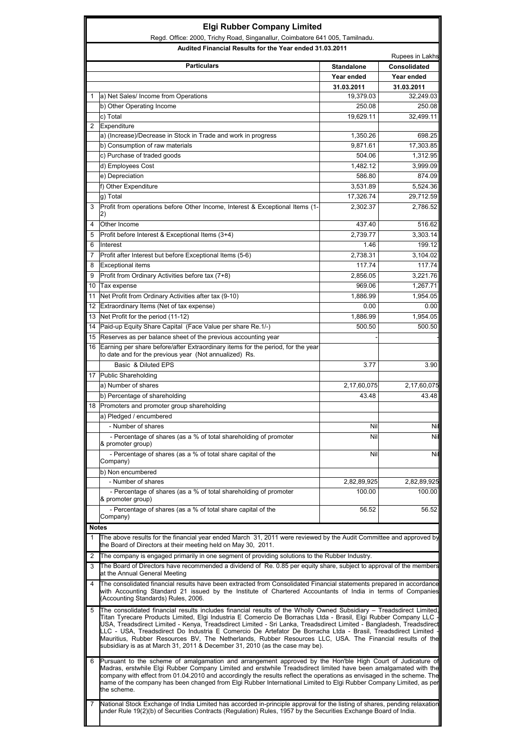|                 | Regd. Office: 2000, Trichy Road, Singanallur, Coimbatore 641 005, Tamilnadu.                                                                                                                                                                                                                                                                                                                                                                                                                                                                                                                                                                                               |                   |                     |
|-----------------|----------------------------------------------------------------------------------------------------------------------------------------------------------------------------------------------------------------------------------------------------------------------------------------------------------------------------------------------------------------------------------------------------------------------------------------------------------------------------------------------------------------------------------------------------------------------------------------------------------------------------------------------------------------------------|-------------------|---------------------|
|                 | Audited Financial Results for the Year ended 31.03.2011                                                                                                                                                                                                                                                                                                                                                                                                                                                                                                                                                                                                                    |                   | Rupees in Lakhs     |
|                 | <b>Particulars</b>                                                                                                                                                                                                                                                                                                                                                                                                                                                                                                                                                                                                                                                         | <b>Standalone</b> | <b>Consolidated</b> |
|                 |                                                                                                                                                                                                                                                                                                                                                                                                                                                                                                                                                                                                                                                                            | Year ended        | Year ended          |
|                 |                                                                                                                                                                                                                                                                                                                                                                                                                                                                                                                                                                                                                                                                            | 31.03.2011        | 31.03.2011          |
| 1               | a) Net Sales/ Income from Operations                                                                                                                                                                                                                                                                                                                                                                                                                                                                                                                                                                                                                                       | 19,379.03         | 32,249.03           |
|                 | b) Other Operating Income                                                                                                                                                                                                                                                                                                                                                                                                                                                                                                                                                                                                                                                  | 250.08            | 250.08              |
|                 | c) Total                                                                                                                                                                                                                                                                                                                                                                                                                                                                                                                                                                                                                                                                   | 19,629.11         | 32,499.11           |
| $\overline{2}$  | Expenditure                                                                                                                                                                                                                                                                                                                                                                                                                                                                                                                                                                                                                                                                |                   |                     |
|                 | a) (Increase)/Decrease in Stock in Trade and work in progress                                                                                                                                                                                                                                                                                                                                                                                                                                                                                                                                                                                                              | 1,350.26          | 698.25              |
|                 | b) Consumption of raw materials                                                                                                                                                                                                                                                                                                                                                                                                                                                                                                                                                                                                                                            | 9,871.61          | 17,303.85           |
|                 | c) Purchase of traded goods                                                                                                                                                                                                                                                                                                                                                                                                                                                                                                                                                                                                                                                | 504.06            | 1,312.95            |
|                 | d) Employees Cost                                                                                                                                                                                                                                                                                                                                                                                                                                                                                                                                                                                                                                                          | 1,482.12          | 3,999.09            |
|                 | e) Depreciation                                                                                                                                                                                                                                                                                                                                                                                                                                                                                                                                                                                                                                                            | 586.80            | 874.09              |
|                 | f) Other Expenditure                                                                                                                                                                                                                                                                                                                                                                                                                                                                                                                                                                                                                                                       | 3,531.89          | 5,524.36            |
|                 | g) Total                                                                                                                                                                                                                                                                                                                                                                                                                                                                                                                                                                                                                                                                   | 17,326.74         | 29,712.59           |
| 3               | Profit from operations before Other Income, Interest & Exceptional Items (1-                                                                                                                                                                                                                                                                                                                                                                                                                                                                                                                                                                                               | 2.302.37          | 2,786.52            |
|                 | 2)                                                                                                                                                                                                                                                                                                                                                                                                                                                                                                                                                                                                                                                                         |                   |                     |
| 4               | Other Income                                                                                                                                                                                                                                                                                                                                                                                                                                                                                                                                                                                                                                                               | 437.40            | 516.62              |
| 5               | Profit before Interest & Exceptional Items (3+4)                                                                                                                                                                                                                                                                                                                                                                                                                                                                                                                                                                                                                           | 2,739.77          | 3,303.14            |
| 6               | Interest                                                                                                                                                                                                                                                                                                                                                                                                                                                                                                                                                                                                                                                                   | 1.46              | 199.12              |
| $\overline{7}$  | Profit after Interest but before Exceptional Items (5-6)                                                                                                                                                                                                                                                                                                                                                                                                                                                                                                                                                                                                                   | 2,738.31          | 3,104.02            |
| 8               | Exceptional items                                                                                                                                                                                                                                                                                                                                                                                                                                                                                                                                                                                                                                                          | 117.74            | 117.74              |
| 9               | Profit from Ordinary Activities before tax (7+8)                                                                                                                                                                                                                                                                                                                                                                                                                                                                                                                                                                                                                           | 2,856.05          | 3,221.76            |
| 10              | Tax expense                                                                                                                                                                                                                                                                                                                                                                                                                                                                                                                                                                                                                                                                | 969.06            | 1,267.71            |
| 11              | Net Profit from Ordinary Activities after tax (9-10)                                                                                                                                                                                                                                                                                                                                                                                                                                                                                                                                                                                                                       | 1,886.99          | 1,954.05            |
| 12 <sup>°</sup> | Extraordinary Items (Net of tax expense)                                                                                                                                                                                                                                                                                                                                                                                                                                                                                                                                                                                                                                   | 0.00              | 0.00                |
|                 |                                                                                                                                                                                                                                                                                                                                                                                                                                                                                                                                                                                                                                                                            |                   |                     |
|                 | 13 Net Profit for the period (11-12)                                                                                                                                                                                                                                                                                                                                                                                                                                                                                                                                                                                                                                       | 1,886.99          | 1,954.05            |
|                 | 14 Paid-up Equity Share Capital (Face Value per share Re.1/-)                                                                                                                                                                                                                                                                                                                                                                                                                                                                                                                                                                                                              | 500.50            | 500.50              |
|                 | 15 Reserves as per balance sheet of the previous accounting year                                                                                                                                                                                                                                                                                                                                                                                                                                                                                                                                                                                                           |                   |                     |
| 16              | Earning per share before/after Extraordinary items for the period, for the year<br>to date and for the previous year (Not annualized) Rs.                                                                                                                                                                                                                                                                                                                                                                                                                                                                                                                                  |                   |                     |
|                 | Basic & Diluted EPS                                                                                                                                                                                                                                                                                                                                                                                                                                                                                                                                                                                                                                                        | 3.77              | 3.90                |
|                 | 17 Public Shareholding                                                                                                                                                                                                                                                                                                                                                                                                                                                                                                                                                                                                                                                     |                   |                     |
|                 | a) Number of shares                                                                                                                                                                                                                                                                                                                                                                                                                                                                                                                                                                                                                                                        | 2,17,60,075       | 2,17,60,075         |
|                 | b) Percentage of shareholding                                                                                                                                                                                                                                                                                                                                                                                                                                                                                                                                                                                                                                              | 43.48             | 43.48               |
|                 | 18 Promoters and promoter group shareholding                                                                                                                                                                                                                                                                                                                                                                                                                                                                                                                                                                                                                               |                   |                     |
|                 | a) Pledged / encumbered                                                                                                                                                                                                                                                                                                                                                                                                                                                                                                                                                                                                                                                    |                   |                     |
|                 | - Number of shares                                                                                                                                                                                                                                                                                                                                                                                                                                                                                                                                                                                                                                                         | Nil               | Nil                 |
|                 | - Percentage of shares (as a % of total shareholding of promoter<br>& promoter group)                                                                                                                                                                                                                                                                                                                                                                                                                                                                                                                                                                                      | Nil               | Nil                 |
|                 | - Percentage of shares (as a % of total share capital of the<br>Company)                                                                                                                                                                                                                                                                                                                                                                                                                                                                                                                                                                                                   | Nil               | Nil                 |
|                 | b) Non encumbered                                                                                                                                                                                                                                                                                                                                                                                                                                                                                                                                                                                                                                                          |                   |                     |
|                 | - Number of shares                                                                                                                                                                                                                                                                                                                                                                                                                                                                                                                                                                                                                                                         | 2,82,89,925       | 2,82,89,925         |
|                 | - Percentage of shares (as a % of total shareholding of promoter<br>& promoter group)                                                                                                                                                                                                                                                                                                                                                                                                                                                                                                                                                                                      | 100.00            | 100.00              |
|                 | - Percentage of shares (as a % of total share capital of the<br>Company)                                                                                                                                                                                                                                                                                                                                                                                                                                                                                                                                                                                                   | 56.52             | 56.52               |
| <b>Notes</b>    |                                                                                                                                                                                                                                                                                                                                                                                                                                                                                                                                                                                                                                                                            |                   |                     |
| 1               | The above results for the financial year ended March 31, 2011 were reviewed by the Audit Committee and approved by<br>the Board of Directors at their meeting held on May 30, 2011.                                                                                                                                                                                                                                                                                                                                                                                                                                                                                        |                   |                     |
| 2               | The company is engaged primarily in one segment of providing solutions to the Rubber Industry.                                                                                                                                                                                                                                                                                                                                                                                                                                                                                                                                                                             |                   |                     |
| 3               | The Board of Directors have recommended a dividend of Re. 0.85 per equity share, subject to approval of the members<br>at the Annual General Meeting                                                                                                                                                                                                                                                                                                                                                                                                                                                                                                                       |                   |                     |
| 4               | The consolidated financial results have been extracted from Consolidated Financial statements prepared in accordance<br>with Accounting Standard 21 issued by the Institute of Chartered Accountants of India in terms of Companies<br>(Accounting Standards) Rules, 2006.                                                                                                                                                                                                                                                                                                                                                                                                 |                   |                     |
| 5               | The consolidated financial results includes financial results of the Wholly Owned Subsidiary - Treadsdirect Limited,<br>Titan Tyrecare Products Limited, Elgi Industria E Comercio De Borrachas Ltda - Brasil, Elgi Rubber Company LLC<br>USA, Treadsdirect Limited - Kenya, Treadsdirect Limited - Sri Lanka, Treadsdirect Limited - Bangladesh, Treadsdirect<br>LLC - USA, Treadsdirect Do Industria E Comercio De Artefator De Borracha Ltda - Brasil, Treadsdirect Limited<br>Mauritius, Rubber Resources BV, The Netherlands, Rubber Resources LLC, USA. The Financial results of the<br>subsidiary is as at March 31, 2011 & December 31, 2010 (as the case may be). |                   |                     |
| 6               | Pursuant to the scheme of amalgamation and arrangement approved by the Hon'ble High Court of Judicature of<br>Madras, erstwhile Elgi Rubber Company Limited and erstwhile Treadsdirect limited have been amalgamated with the<br>company with effect from 01.04.2010 and accordingly the results reflect the operations as envisaged in the scheme. The<br>name of the company has been changed from Elgi Rubber International Limited to Elgi Rubber Company Limited, as per<br>the scheme.                                                                                                                                                                               |                   |                     |
| 7               | National Stock Exchange of India Limited has accorded in-principle approval for the listing of shares, pending relaxation<br>under Rule 19(2)(b) of Securities Contracts (Regulation) Rules, 1957 by the Securities Exchange Board of India.                                                                                                                                                                                                                                                                                                                                                                                                                               |                   |                     |

г